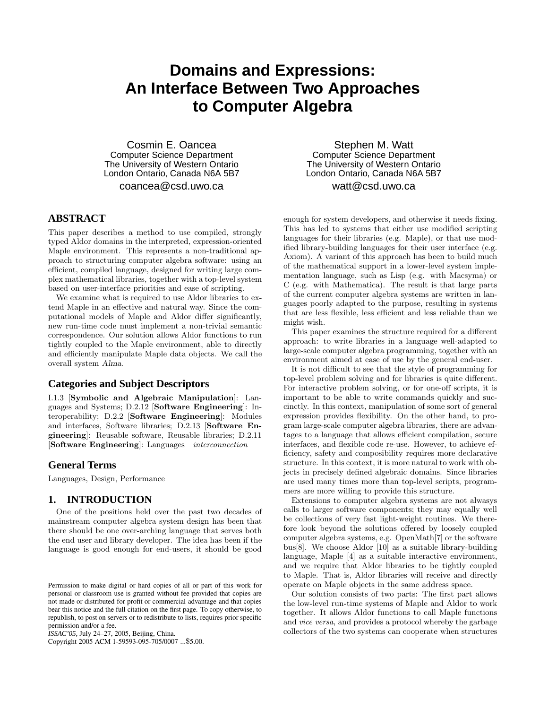# **Domains and Expressions: An Interface Between Two Approaches to Computer Algebra**

Cosmin E. Oancea Computer Science Department The University of Western Ontario London Ontario, Canada N6A 5B7 coancea@csd.uwo.ca

# **ABSTRACT**

This paper describes a method to use compiled, strongly typed Aldor domains in the interpreted, expression-oriented Maple environment. This represents a non-traditional approach to structuring computer algebra software: using an efficient, compiled language, designed for writing large complex mathematical libraries, together with a top-level system based on user-interface priorities and ease of scripting.

We examine what is required to use Aldor libraries to extend Maple in an effective and natural way. Since the computational models of Maple and Aldor differ significantly, new run-time code must implement a non-trivial semantic correspondence. Our solution allows Aldor functions to run tightly coupled to the Maple environment, able to directly and efficiently manipulate Maple data objects. We call the overall system Alma.

# **Categories and Subject Descriptors**

I.1.3 [Symbolic and Algebraic Manipulation]: Languages and Systems; D.2.12 [Software Engineering]: Interoperability; D.2.2 [Software Engineering]: Modules and interfaces, Software libraries; D.2.13 [Software Engineering]: Reusable software, Reusable libraries; D.2.11 [Software Engineering]: Languages—interconnection

## **General Terms**

Languages, Design, Performance

## **1. INTRODUCTION**

One of the positions held over the past two decades of mainstream computer algebra system design has been that there should be one over-arching language that serves both the end user and library developer. The idea has been if the language is good enough for end-users, it should be good

Copyright 2005 ACM 1-59593-095-705/0007 ...\$5.00.

Stephen M. Watt Computer Science Department The University of Western Ontario London Ontario, Canada N6A 5B7 watt@csd.uwo.ca

enough for system developers, and otherwise it needs fixing. This has led to systems that either use modified scripting languages for their libraries (e.g. Maple), or that use modified library-building languages for their user interface (e.g. Axiom). A variant of this approach has been to build much of the mathematical support in a lower-level system implementation language, such as Lisp (e.g. with Macsyma) or C (e.g. with Mathematica). The result is that large parts of the current computer algebra systems are written in languages poorly adapted to the purpose, resulting in systems that are less flexible, less efficient and less reliable than we might wish.

This paper examines the structure required for a different approach: to write libraries in a language well-adapted to large-scale computer algebra programming, together with an environment aimed at ease of use by the general end-user.

It is not difficult to see that the style of programming for top-level problem solving and for libraries is quite different. For interactive problem solving, or for one-off scripts, it is important to be able to write commands quickly and succinctly. In this context, manipulation of some sort of general expression provides flexibility. On the other hand, to program large-scale computer algebra libraries, there are advantages to a language that allows efficient compilation, secure interfaces, and flexible code re-use. However, to achieve efficiency, safety and composibility requires more declarative structure. In this context, it is more natural to work with objects in precisely defined algebraic domains. Since libraries are used many times more than top-level scripts, programmers are more willing to provide this structure.

Extensions to computer algebra systems are not alwasys calls to larger software components; they may equally well be collections of very fast light-weight routines. We therefore look beyond the solutions offered by loosely coupled computer algebra systems, e.g. OpenMath[7] or the software bus[8]. We choose Aldor [10] as a suitable library-building language, Maple [4] as a suitable interactive environment, and we require that Aldor libraries to be tightly coupled to Maple. That is, Aldor libraries will receive and directly operate on Maple objects in the same address space.

Our solution consists of two parts: The first part allows the low-level run-time systems of Maple and Aldor to work together. It allows Aldor functions to call Maple functions and vice versa, and provides a protocol whereby the garbage collectors of the two systems can cooperate when structures

Permission to make digital or hard copies of all or part of this work for personal or classroom use is granted without fee provided that copies are not made or distributed for profit or commercial advantage and that copies bear this notice and the full citation on the first page. To copy otherwise, to republish, to post on servers or to redistribute to lists, requires prior specific permission and/or a fee.

*ISSAC'05,* July 24–27, 2005, Beijing, China.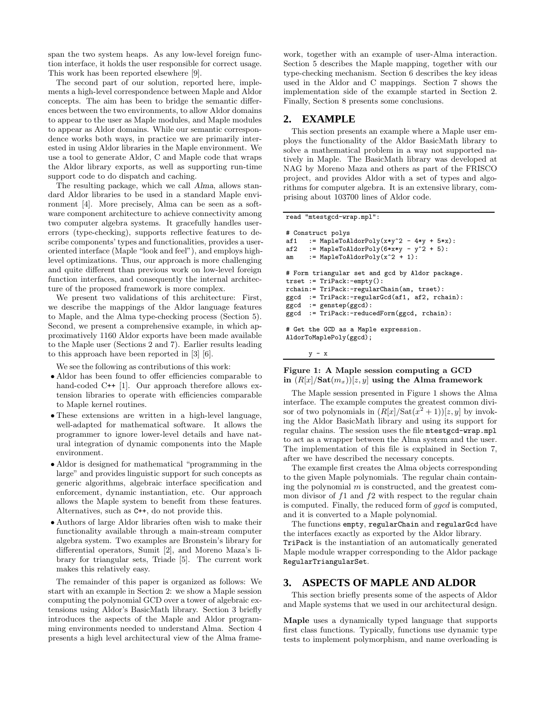span the two system heaps. As any low-level foreign function interface, it holds the user responsible for correct usage. This work has been reported elsewhere [9].

The second part of our solution, reported here, implements a high-level correspondence between Maple and Aldor concepts. The aim has been to bridge the semantic differences between the two environments, to allow Aldor domains to appear to the user as Maple modules, and Maple modules to appear as Aldor domains. While our semantic correspondence works both ways, in practice we are primarily interested in using Aldor libraries in the Maple environment. We use a tool to generate Aldor, C and Maple code that wraps the Aldor library exports, as well as supporting run-time support code to do dispatch and caching.

The resulting package, which we call Alma, allows standard Aldor libraries to be used in a standard Maple environment [4]. More precisely, Alma can be seen as a software component architecture to achieve connectivity among two computer algebra systems. It gracefully handles usererrors (type-checking), supports reflective features to describe components' types and functionalities, provides a useroriented interface (Maple "look and feel"), and employs highlevel optimizations. Thus, our approach is more challenging and quite different than previous work on low-level foreign function interfaces, and consequently the internal architecture of the proposed framework is more complex.

We present two validations of this architecture: First, we describe the mappings of the Aldor language features to Maple, and the Alma type-checking process (Section 5). Second, we present a comprehensive example, in which approximatively 1160 Aldor exports have been made available to the Maple user (Sections 2 and 7). Earlier results leading to this approach have been reported in [3] [6].

We see the following as contributions of this work:

- Aldor has been found to offer efficiencies comparable to hand-coded C<sup>++</sup> [1]. Our approach therefore allows extension libraries to operate with efficiencies comparable to Maple kernel routines.
- These extensions are written in a high-level language, well-adapted for mathematical software. It allows the programmer to ignore lower-level details and have natural integration of dynamic components into the Maple environment.
- Aldor is designed for mathematical "programming in the large" and provides linguistic support for such concepts as generic algorithms, algebraic interface specification and enforcement, dynamic instantiation, etc. Our approach allows the Maple system to benefit from these features. Alternatives, such as C++, do not provide this.
- Authors of large Aldor libraries often wish to make their functionality available through a main-stream computer algebra system. Two examples are Bronstein's library for differential operators, Sumit [2], and Moreno Maza's library for triangular sets, Triade [5]. The current work makes this relatively easy.

The remainder of this paper is organized as follows: We start with an example in Section 2: we show a Maple session computing the polynomial GCD over a tower of algebraic extensions using Aldor's BasicMath library. Section 3 briefly introduces the aspects of the Maple and Aldor programming environments needed to understand Alma. Section 4 presents a high level architectural view of the Alma framework, together with an example of user-Alma interaction. Section 5 describes the Maple mapping, together with our type-checking mechanism. Section 6 describes the key ideas used in the Aldor and C mappings. Section 7 shows the implementation side of the example started in Section 2. Finally, Section 8 presents some conclusions.

## **2. EXAMPLE**

This section presents an example where a Maple user employs the functionality of the Aldor BasicMath library to solve a mathematical problem in a way not supported natively in Maple. The BasicMath library was developed at NAG by Moreno Maza and others as part of the FRISCO project, and provides Aldor with a set of types and algorithms for computer algebra. It is an extensive library, comprising about 103700 lines of Aldor code.

```
read "mtestgcd-wrap.mpl":
```
y - x

```
# Construct polys
af1 := MapleToAldorPoly(x*y^2 - 4*y + 5*x):
af2 := MapleToAldorPoly(6*xx+y - y^2 + 5):
am := MapleToAldorPoly(x^2 + 1):
# Form triangular set and gcd by Aldor package.
trset := TriPack:-empty():
rchain:= TriPack:-regularChain(am, trset):
ggcd := TriPack:-regularGcd(af1, af2, rchain):
ggcd := genstep(ggcd):
ggcd := TriPack:-reducedForm(ggcd, rchain):
# Get the GCD as a Maple expression.
AldorToMaplePoly(ggcd);
```
#### Figure 1: A Maple session computing a GCD in  $(R[x]/\text{Sat}(m_x))[z, y]$  using the Alma framework

The Maple session presented in Figure 1 shows the Alma interface. The example computes the greatest common divisor of two polynomials in  $(R[x]/\text{Sat}(x^2+1))[z, y]$  by invoking the Aldor BasicMath library and using its support for regular chains. The session uses the file mtestgcd-wrap.mpl to act as a wrapper between the Alma system and the user. The implementation of this file is explained in Section 7, after we have described the necessary concepts.

The example first creates the Alma objects corresponding to the given Maple polynomials. The regular chain containing the polynomial  $m$  is constructed, and the greatest common divisor of  $f_1$  and  $f_2$  with respect to the regular chain is computed. Finally, the reduced form of ggcd is computed, and it is converted to a Maple polynomial.

The functions empty, regularChain and regularGcd have the interfaces exactly as exported by the Aldor library.

TriPack is the instantiation of an automatically generated Maple module wrapper corresponding to the Aldor package RegularTriangularSet.

## **3. ASPECTS OF MAPLE AND ALDOR**

This section briefly presents some of the aspects of Aldor and Maple systems that we used in our architectural design.

Maple uses a dynamically typed language that supports first class functions. Typically, functions use dynamic type tests to implement polymorphism, and name overloading is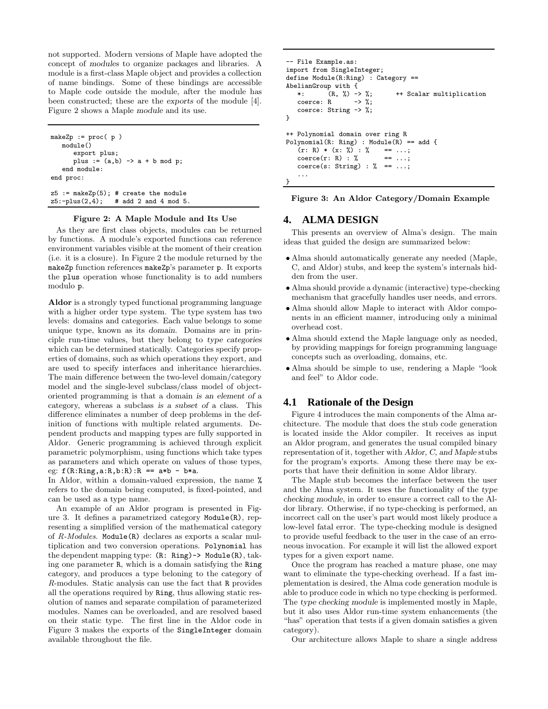not supported. Modern versions of Maple have adopted the concept of modules to organize packages and libraries. A module is a first-class Maple object and provides a collection of name bindings. Some of these bindings are accessible to Maple code outside the module, after the module has been constructed; these are the exports of the module [4]. Figure 2 shows a Maple module and its use.

```
makeZp := proc( p )module()
      export plus;
      plus := (a,b) \rightarrow a + b \mod p;end module:
end proc:
z5 := makeZp(5); # create the module
```
 $z5:-plus(2,4);$  # add 2 and 4 mod 5.

#### Figure 2: A Maple Module and Its Use

As they are first class objects, modules can be returned by functions. A module's exported functions can reference environment variables visible at the moment of their creation (i.e. it is a closure). In Figure 2 the module returned by the makeZp function references makeZp's parameter p. It exports the plus operation whose functionality is to add numbers modulo p.

Aldor is a strongly typed functional programming language with a higher order type system. The type system has two levels: domains and categories. Each value belongs to some unique type, known as its domain. Domains are in principle run-time values, but they belong to type categories which can be determined statically. Categories specify properties of domains, such as which operations they export, and are used to specify interfaces and inheritance hierarchies. The main difference between the two-level domain/category model and the single-level subclass/class model of objectoriented programming is that a domain is an element of a category, whereas a subclass is a subset of a class. This difference eliminates a number of deep problems in the definition of functions with multiple related arguments. Dependent products and mapping types are fully supported in Aldor. Generic programming is achieved through explicit parametric polymorphism, using functions which take types as parameters and which operate on values of those types, eg:  $f(R: Ring, a:R, b:R):R == a*b - b*a$ .

In Aldor, within a domain-valued expression, the name % refers to the domain being computed, is fixed-pointed, and can be used as a type name.

An example of an Aldor program is presented in Figure 3. It defines a parametrized category Module(R), representing a simplified version of the mathematical category of R-Modules. Module(R) declares as exports a scalar multiplication and two conversion operations. Polynomial has the dependent mapping type:  $(R: Ring) \rightarrow Module(R)$ , taking one parameter R, which is a domain satisfying the Ring category, and produces a type beloning to the category of R-modules. Static analysis can use the fact that R provides all the operations required by Ring, thus allowing static resolution of names and separate compilation of parameterized modules. Names can be overloaded, and are resolved based on their static type. The first line in the Aldor code in Figure 3 makes the exports of the SingleInteger domain available throughout the file.

```
-- File Example.as:
import from SingleInteger;
define Module(R:Ring) : Category ==
AbelianGroup with {
   *: (R, %) \rightarrow %; ++ Scalar multiplication<br>coerce: R -> %;
   coerce: R
   coerce: String -> %;
}
++ Polynomial domain over ring R
Polynomial(R: Ring) : Module(R) == add {
   (r: R) * (x: %): % == ...;<br>coerce(r: R) : % == ...;coerce(r: R) : %coerce(s: String) : % == ...;
   ...
}
```
Figure 3: An Aldor Category/Domain Example

## **4. ALMA DESIGN**

This presents an overview of Alma's design. The main ideas that guided the design are summarized below:

- Alma should automatically generate any needed (Maple, C, and Aldor) stubs, and keep the system's internals hidden from the user.
- Alma should provide a dynamic (interactive) type-checking mechanism that gracefully handles user needs, and errors.
- Alma should allow Maple to interact with Aldor components in an efficient manner, introducing only a minimal overhead cost.
- Alma should extend the Maple language only as needed, by providing mappings for foreign programming language concepts such as overloading, domains, etc.
- Alma should be simple to use, rendering a Maple "look and feel" to Aldor code.

## **4.1 Rationale of the Design**

Figure 4 introduces the main components of the Alma architecture. The module that does the stub code generation is located inside the Aldor compiler. It receives as input an Aldor program, and generates the usual compiled binary representation of it, together with Aldor, C, and Maple stubs for the program's exports. Among these there may be exports that have their definition in some Aldor library.

The Maple stub becomes the interface between the user and the Alma system. It uses the functionality of the type checking module, in order to ensure a correct call to the Aldor library. Otherwise, if no type-checking is performed, an incorrect call on the user's part would most likely produce a low-level fatal error. The type-checking module is designed to provide useful feedback to the user in the case of an erroneous invocation. For example it will list the allowed export types for a given export name.

Once the program has reached a mature phase, one may want to eliminate the type-checking overhead. If a fast implementation is desired, the Alma code generation module is able to produce code in which no type checking is performed. The type checking module is implemented mostly in Maple, but it also uses Aldor run-time system enhancements (the "has" operation that tests if a given domain satisfies a given category).

Our architecture allows Maple to share a single address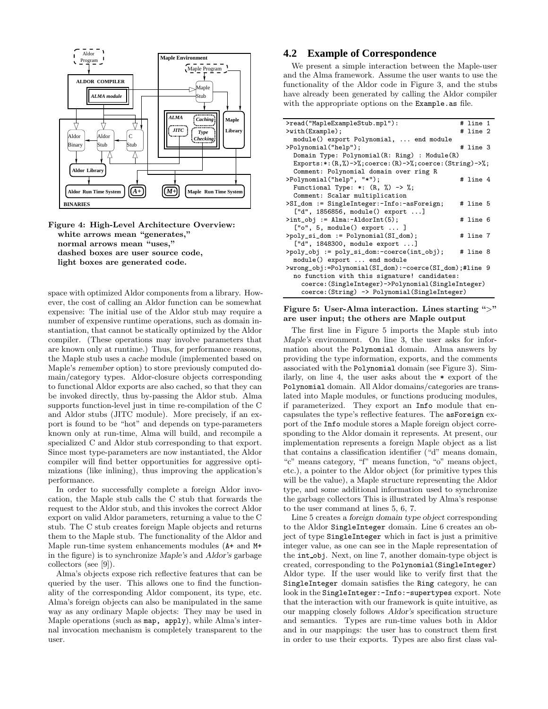

Figure 4: High-Level Architecture Overview: white arrows mean "generates," normal arrows mean "uses," dashed boxes are user source code, light boxes are generated code.

space with optimized Aldor components from a library. However, the cost of calling an Aldor function can be somewhat expensive: The initial use of the Aldor stub may require a number of expensive runtime operations, such as domain instantiation, that cannot be statically optimized by the Aldor compiler. (These operations may involve parameters that are known only at runtime.) Thus, for performance reasons, the Maple stub uses a cache module (implemented based on Maple's remember option) to store previously computed domain/category types. Aldor-closure objects corresponding to functional Aldor exports are also cached, so that they can be invoked directly, thus by-passing the Aldor stub. Alma supports function-level just in time re-compilation of the C and Aldor stubs (JITC module). More precisely, if an export is found to be "hot" and depends on type-parameters known only at run-time, Alma will build, and recompile a specialized C and Aldor stub corresponding to that export. Since most type-parameters are now instantiated, the Aldor compiler will find better opportunities for aggressive optimizations (like inlining), thus improving the application's performance.

In order to successfully complete a foreign Aldor invocation, the Maple stub calls the C stub that forwards the request to the Aldor stub, and this invokes the correct Aldor export on valid Aldor parameters, returning a value to the C stub. The C stub creates foreign Maple objects and returns them to the Maple stub. The functionality of the Aldor and Maple run-time system enhancements modules (A+ and M+ in the figure) is to synchronize Maple's and Aldor's garbage collectors (see [9]).

Alma's objects expose rich reflective features that can be queried by the user. This allows one to find the functionality of the corresponding Aldor component, its type, etc. Alma's foreign objects can also be manipulated in the same way as any ordinary Maple objects: They may be used in Maple operations (such as map, apply), while Alma's internal invocation mechanism is completely transparent to the user.

## **4.2 Example of Correspondence**

We present a simple interaction between the Maple-user and the Alma framework. Assume the user wants to use the functionality of the Aldor code in Figure 3, and the stubs have already been generated by calling the Aldor compiler with the appropriate options on the Example.as file.

| >read("MapleExampleStub.mpl"):                                                                                                                                                                                                                                                                                                                                                                                                   | # line 1 |  |
|----------------------------------------------------------------------------------------------------------------------------------------------------------------------------------------------------------------------------------------------------------------------------------------------------------------------------------------------------------------------------------------------------------------------------------|----------|--|
| $\rightarrow$ with (Example);                                                                                                                                                                                                                                                                                                                                                                                                    | # line 2 |  |
| module() export Polynomial,  end module                                                                                                                                                                                                                                                                                                                                                                                          |          |  |
| >Polynomial("help");                                                                                                                                                                                                                                                                                                                                                                                                             | # line 3 |  |
| Domain Type: Polynomial(R: Ring) : Module(R)                                                                                                                                                                                                                                                                                                                                                                                     |          |  |
| Exports: *: $(R, %)$ ->%; coerce: $(R)$ ->%; coerce: $(Suring)$ ->%;                                                                                                                                                                                                                                                                                                                                                             |          |  |
| Comment: Polynomial domain over ring R                                                                                                                                                                                                                                                                                                                                                                                           |          |  |
| >Polynomial("help", "*");                                                                                                                                                                                                                                                                                                                                                                                                        | # line 4 |  |
| Functional Type: *: $(R, %)$ -> %;                                                                                                                                                                                                                                                                                                                                                                                               |          |  |
| Comment: Scalar multiplication                                                                                                                                                                                                                                                                                                                                                                                                   |          |  |
| >SI_dom := SingleInteger:-Info:-asForeign;                                                                                                                                                                                                                                                                                                                                                                                       | # line 5 |  |
| ["d", 1856856, module() export ]                                                                                                                                                                                                                                                                                                                                                                                                 |          |  |
| $\frac{\text{1}}{\text{1}}$ $\frac{\text{1}}{\text{2}}$ $\frac{\text{1}}{\text{2}}$ $\frac{\text{1}}{\text{2}}$ $\frac{\text{1}}{\text{2}}$ $\frac{\text{1}}{\text{2}}$ $\frac{\text{1}}{\text{2}}$ $\frac{\text{1}}{\text{2}}$ $\frac{\text{1}}{\text{2}}$ $\frac{\text{1}}{\text{2}}$ $\frac{\text{1}}{\text{2}}$ $\frac{\text{1}}{\text{2}}$ $\frac{\text{1}}{\text{2}}$ $\frac{\text{1}}{\text{2}}$ $\frac{\text{1}}{\text{$ | # line 6 |  |
| ['o", 5, module() export  ]                                                                                                                                                                                                                                                                                                                                                                                                      |          |  |
| >poly_si_dom := Polynomial(SI_dom);                                                                                                                                                                                                                                                                                                                                                                                              | # line 7 |  |
| $[\text{"d", 1848300, module export }]$                                                                                                                                                                                                                                                                                                                                                                                          |          |  |
| >poly_obj := poly_si_dom:-coerce(int_obj);                                                                                                                                                                                                                                                                                                                                                                                       | # line 8 |  |
| module() export  end module                                                                                                                                                                                                                                                                                                                                                                                                      |          |  |
| >wrong_obj:=Polynomial(SI_dom):-coerce(SI_dom);#line 9                                                                                                                                                                                                                                                                                                                                                                           |          |  |
| no function with this signature! candidates:                                                                                                                                                                                                                                                                                                                                                                                     |          |  |
| coerce: (SingleInteger)->Polynomial (SingleInteger)                                                                                                                                                                                                                                                                                                                                                                              |          |  |
| coerce: (String) -> Polynomial (SingleInteger)                                                                                                                                                                                                                                                                                                                                                                                   |          |  |
|                                                                                                                                                                                                                                                                                                                                                                                                                                  |          |  |

#### Figure 5: User-Alma interaction. Lines starting ">" are user input; the others are Maple output

The first line in Figure 5 imports the Maple stub into Maple's environment. On line 3, the user asks for information about the Polynomial domain. Alma answers by providing the type information, exports, and the comments associated with the Polynomial domain (see Figure 3). Similarly, on line 4, the user asks about the \* export of the Polynomial domain. All Aldor domains/categories are translated into Maple modules, or functions producing modules, if parameterized. They export an Info module that encapsulates the type's reflective features. The asForeign export of the Info module stores a Maple foreign object corresponding to the Aldor domain it represents. At present, our implementation represents a foreign Maple object as a list that contains a classification identifier ("d" means domain, "c" means category, "f" means function, "o" means object, etc.), a pointer to the Aldor object (for primitive types this will be the value), a Maple structure representing the Aldor type, and some additional information used to synchronize the garbage collectors This is illustrated by Alma's response to the user command at lines 5, 6, 7.

Line 5 creates a foreign domain type object corresponding to the Aldor SingleInteger domain. Line 6 creates an object of type SingleInteger which in fact is just a primitive integer value, as one can see in the Maple representation of the int obj. Next, on line 7, another domain-type object is created, corresponding to the Polynomial(SingleInteger) Aldor type. If the user would like to verify first that the SingleInteger domain satisfies the Ring category, he can look in the SingleInteger:-Info:-supertypes export. Note that the interaction with our framework is quite intuitive, as our mapping closely follows Aldor's specification structure and semantics. Types are run-time values both in Aldor and in our mappings: the user has to construct them first in order to use their exports. Types are also first class val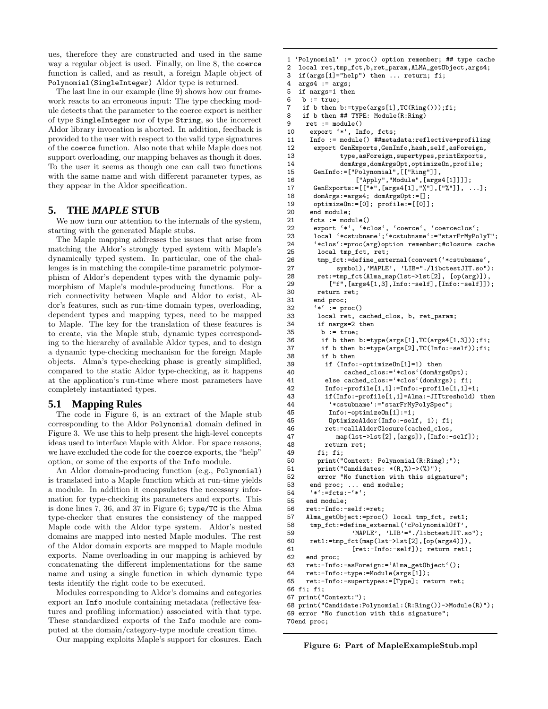ues, therefore they are constructed and used in the same way a regular object is used. Finally, on line 8, the coerce function is called, and as result, a foreign Maple object of Polynomial(SingleInteger) Aldor type is returned.

The last line in our example (line 9) shows how our framework reacts to an erroneous input: The type checking module detects that the parameter to the coerce export is neither of type SingleInteger nor of type String, so the incorrect Aldor library invocation is aborted. In addition, feedback is provided to the user with respect to the valid type signatures of the coerce function. Also note that while Maple does not support overloading, our mapping behaves as though it does. To the user it seems as though one can call two functions with the same name and with different parameter types, as they appear in the Aldor specification.

#### **5. THE** *MAPLE* **STUB**

We now turn our attention to the internals of the system, starting with the generated Maple stubs.

The Maple mapping addresses the issues that arise from matching the Aldor's strongly typed system with Maple's dynamically typed system. In particular, one of the challenges is in matching the compile-time parametric polymorphism of Aldor's dependent types with the dynamic polymorphism of Maple's module-producing functions. For a rich connectivity between Maple and Aldor to exist, Aldor's features, such as run-time domain types, overloading, dependent types and mapping types, need to be mapped to Maple. The key for the translation of these features is to create, via the Maple stub, dynamic types corresponding to the hierarchy of available Aldor types, and to design a dynamic type-checking mechanism for the foreign Maple objects. Alma's type-checking phase is greatly simplified, compared to the static Aldor type-checking, as it happens at the application's run-time where most parameters have completely instantiated types.

#### **5.1 Mapping Rules**

The code in Figure 6, is an extract of the Maple stub corresponding to the Aldor Polynomial domain defined in Figure 3. We use this to help present the high-level concepts ideas used to interface Maple with Aldor. For space reasons, we have excluded the code for the coerce exports, the "help" option, or some of the exports of the Info module.

An Aldor domain-producing function (e.g., Polynomial) is translated into a Maple function which at run-time yields a module. In addition it encapsulates the necessary information for type-checking its parameters and exports. This is done lines 7, 36, and 37 in Figure 6; type/TC is the Alma type-checker that ensures the consistency of the mapped Maple code with the Aldor type system. Aldor's nested domains are mapped into nested Maple modules. The rest of the Aldor domain exports are mapped to Maple module exports. Name overloading in our mapping is achieved by concatenating the different implementations for the same name and using a single function in which dynamic type tests identify the right code to be executed.

Modules corresponding to Aldor's domains and categories export an Info module containing metadata (reflective features and profiling information) associated with that type. These standardized exports of the Info module are computed at the domain/category-type module creation time.

Our mapping exploits Maple's support for closures. Each

```
1 'Polynomial' := proc() option remember; ## type cache
2 local ret,tmp_fct,b,ret_param,ALMA_getObject,args4;
3 if(args[1]="help") then ... return; fi;
4 args4 := args;
5 if nargs=1 then
6 b := true;
7 if b then b:=type(args[1],TC(Ring()));fi;
8 if b then ## TYPE: Module(R:Ring)
9 ret := module()<br>10 export '*', In
10 export '*', Info, fcts;<br>11 Info := module() ##meta
       Info := module() ##metadata:reflective+profiling
12 export GenExports,GenInfo,hash,self,asForeign,
13 type,asForeign,supertypes,printExports,<br>14 domArgs,domArgsOpt,optimizeOn,profile;
                domArgs,domArgsOpt,optimizeOn,profile;
15 GenInfo:=["Polynomial",[["Ring"]],
16 ["Apply","Module",[args4[1]]]];
17 GenExports:=[["*",[args4[1],"%"],["%"]], ...];
18 domArgs:=args4; domArgsOpt:=[];<br>19 optimizeOn:=[0]; profile:=[[0]]
        19 optimizeOn:=[0]; profile:=[[0]];
20 end module;<br>21 fcts := mod
       fcts := module()22 export '*', '*clos', 'coerce', 'coerceclos';
23 local '*cstubname';'*cstubname':="starFrMyPolyT";
24 '*clos':=proc(arg)option remember;#closure cache
25 local tmp_fct, ret;<br>26 tmp fct:=define ext
         26 tmp_fct:=define_external(convert('*cstubname',
27 symbol),'MAPLE', 'LIB="./libctestJIT.so"):<br>28 ret:=tmp_fct(Alma_map(lst->lst[2], [op(arg)]),
28 ret:=tmp_fct(Alma_map(lst->lst[2], [op(arg)]),<br>29 ["f",[args4[1,3],Info:-self],[Info:-self]])
             ["f",[args4[1,3],Info:-self],[Info:-self]]);
30 return ret;<br>31 end proc;
31 end proc;<br>32 ' *' := pr32 '*' := proc()<br>33 local ret. c
33 local ret, cached_clos, b, ret_param;<br>34 if nargs=2 then
34 if nargs=2 then<br>35 b = true
35 b := true;
36 if b then b:=type(args[1],TC(args4[1,3]));fi;<br>37 if b then b:=type(args[2].TC(Info:-self)):fi;
          if b then b:=type(args[2],TC(Info:-self));fi;
38 if b then<br>39 if (Info
           if (Info:-optimizeOn[1]=1) then
40 cached_clos:='*clos'(domArgsOpt);
41 else cached_clos:='*clos'(domArgs); fi;
42 Info:-profile[1,1]:=Info:-profile[1,1]+1;
43 if(Info:-profile[1,1]=Alma:-JITtreshold) then<br>44 '*cstubname':="starFrMyPolySpec";
             44 '*cstubname':="starFrMyPolySpec";
45 Info:-optimizeOn[1]:=1;
45 OptimizeAldor(Info:-self, 1); fi;
46 ret:=callAldorClosure(cached_clos,<br>47 map(lst->lst[2],[args]),[Info:-
47 map(lst->lst[2],[args]),[Info:-self]);<br>48 return ret;
           return ret;
49 fi; fi;
50 print("Context: Polynomial(R:Ring);");
51 print("Candidates: *(R,%)->(%)");<br>52 error "No function with this sign
52 error "No function with this signature";<br>53 end proc: ... end module:
53 end proc; ... end module;<br>54 ' * \cdot = f \cdot t \cdot s \cdot f'54 '*(:=fcts:-'*/;<br>55 end module;
55 end module;<br>56 ret:-Info:-
     56 ret:-Info:-self:=ret;
57 Alma_getObject:=proc() local tmp_fct, ret1;
58 tmp_fct:=define_external('cPolynomialOfT',
59 'WAPLE', 'LIB'="./libctestJIT.so");<br>60 ret1:=tmp_fct(map(1st->1st[2],[op(args4)]),
       60 ret1:=tmp_fct(map(lst->lst[2],[op(args4)]),
61 [ret:-Info:-self]); return ret1;
62 end proc;
63 ret:-Info:-asForeign:='Alma_getObject'();
64 ret:-Info:-type:=Module(args[1]);
65 ret:-Info:-supertypes:=[Type]; return ret;
66 fi; fi;
67 print("Context:");
68 print("Candidate:Polynomial:(R:Ring())->Module(R)");
69 error "No function with this signature";
70end proc;
```
Figure 6: Part of MapleExampleStub.mpl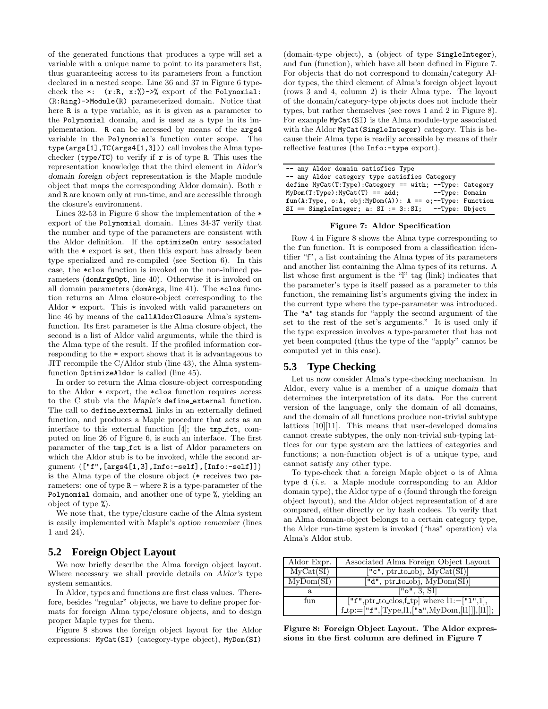of the generated functions that produces a type will set a variable with a unique name to point to its parameters list, thus guaranteeing access to its parameters from a function declared in a nested scope. Line 36 and 37 in Figure 6 typecheck the  $\ast$ :  $(r:R, x:\%) \rightarrow \%$  export of the Polynomial: (R:Ring)->Module(R) parameterized domain. Notice that here R is a type variable, as it is given as a parameter to the Polynomial domain, and is used as a type in its implementation. R can be accessed by means of the args4 variable in the Polynomial's function outer scope. The type(args[1],TC(args4[1,3])) call invokes the Alma typechecker (type/TC) to verify if  $r$  is of type R. This uses the representation knowledge that the third element in Aldor's domain foreign object representation is the Maple module object that maps the corresponding Aldor domain). Both r and R are known only at run-time, and are accessible through the closure's environment.

Lines 32-53 in Figure 6 show the implementation of the \* export of the Polynomial domain. Lines 34-37 verify that the number and type of the parameters are consistent with the Aldor definition. If the optimizeOn entry associated with the  $*$  export is set, then this export has already been type specialized and re-compiled (see Section 6). In this case, the \*clos function is invoked on the non-inlined parameters (domArgsOpt, line 40). Otherwise it is invoked on all domain parameters (domArgs, line 41). The \*clos function returns an Alma closure-object corresponding to the Aldor \* export. This is invoked with valid parameters on line 46 by means of the callAldorClosure Alma's systemfunction. Its first parameter is the Alma closure object, the second is a list of Aldor valid arguments, while the third is the Alma type of the result. If the profiled information corresponding to the \* export shows that it is advantageous to JIT recompile the C/Aldor stub (line 43), the Alma systemfunction OptimizeAldor is called (line 45).

In order to return the Alma closure-object corresponding to the Aldor \* export, the \*clos function requires access to the C stub via the Maple's define external function. The call to define external links in an externally defined function, and produces a Maple procedure that acts as an interface to this external function  $[4]$ ; the  $tmp\_fct$ , computed on line 26 of Figure 6, is such an interface. The first parameter of the tmp fct is a list of Aldor parameters on which the Aldor stub is to be invoked, while the second argument (["f",[args4[1,3],Info:-self],[Info:-self]]) is the Alma type of the closure object (\* receives two parameters: one of type  $R$  – where R is a type-parameter of the Polynomial domain, and another one of type %, yielding an object of type %).

We note that, the type/closure cache of the Alma system is easily implemented with Maple's option remember (lines 1 and 24).

#### **5.2 Foreign Object Layout**

We now briefly describe the Alma foreign object layout. Where necessary we shall provide details on Aldor's type system semantics.

In Aldor, types and functions are first class values. Therefore, besides "regular" objects, we have to define proper formats for foreign Alma type/closure objects, and to design proper Maple types for them.

Figure 8 shows the foreign object layout for the Aldor expressions: MyCat(SI) (category-type object), MyDom(SI)

(domain-type object), a (object of type SingleInteger), and fun (function), which have all been defined in Figure 7. For objects that do not correspond to domain/category Aldor types, the third element of Alma's foreign object layout (rows 3 and 4, column 2) is their Alma type. The layout of the domain/category-type objects does not include their types, but rather themselves (see rows 1 and 2 in Figure 8). For example MyCat(SI) is the Alma module-type associated with the Aldor MyCat(SingleInteger) category. This is because their Alma type is readily accessible by means of their reflective features (the Info:-type export).

| -- any Aldor domain satisfies Type                           |  |
|--------------------------------------------------------------|--|
| -- any Aldor category type satisfies Category                |  |
| define MyCat(T:Type):Category == with; --Type: Category      |  |
| $MyDom(T:Type): MyCat(T) == add; --Type: Domain$             |  |
| $fun(A:Type, o:A, obj:MyDom(A))$ : $A == o;--Type: Function$ |  |
| $SI == SingleInteger; a: SI := 3::SI; --Type: Object$        |  |

#### Figure 7: Aldor Specification

Row 4 in Figure 8 shows the Alma type corresponding to the fun function. It is composed from a classification identifier "f", a list containing the Alma types of its parameters and another list containing the Alma types of its returns. A list whose first argument is the "l" tag (link) indicates that the parameter's type is itself passed as a parameter to this function, the remaining list's arguments giving the index in the current type where the type-parameter was introduced. The "a" tag stands for "apply the second argument of the set to the rest of the set's arguments." It is used only if the type expression involves a type-parameter that has not yet been computed (thus the type of the "apply" cannot be computed yet in this case).

## **5.3 Type Checking**

Let us now consider Alma's type-checking mechanism. In Aldor, every value is a member of a unique domain that determines the interpretation of its data. For the current version of the language, only the domain of all domains, and the domain of all functions produce non-trivial subtype lattices [10][11]. This means that user-developed domains cannot create subtypes, the only non-trivial sub-typing lattices for our type system are the lattices of categories and functions; a non-function object is of a unique type, and cannot satisfy any other type.

To type-check that a foreign Maple object o is of Alma type d (i.e. a Maple module corresponding to an Aldor domain type), the Aldor type of o (found through the foreign object layout), and the Aldor object representation of d are compared, either directly or by hash codees. To verify that an Alma domain-object belongs to a certain category type, the Aldor run-time system is invoked ("has" operation) via Alma's Aldor stub.

| Aldor Expr. | Associated Alma Foreign Object Layout                                                                                                                      |
|-------------|------------------------------------------------------------------------------------------------------------------------------------------------------------|
| MyCat(SI)   | $['c", \text{ptr_to obj}, \text{MyCat(SI)}]$                                                                                                               |
| MyDom(SI)   | ["d", ptr to obj, MyDom(SI)]                                                                                                                               |
| а           | ["o", 3, SI]                                                                                                                                               |
| fun         | $[\mathbf{u} \cdot \mathbf{f} \cdot \mathbf{v}, \text{ptr\_to} \cdot \text{clos}, \text{tr}_{\mathbf{v}}]$ where $[1; = [\mathbf{u} \cdot \mathbf{v}, 1],$ |
|             | f_tp:= $\lceil$ "f", $\lceil$ Type, $\lceil 1, \lceil$ "a", $MyDom$ , $\lceil 1 \rceil \rceil$ , $\lceil 1 \rceil \rceil$ ;                                |

Figure 8: Foreign Object Layout. The Aldor expressions in the first column are defined in Figure 7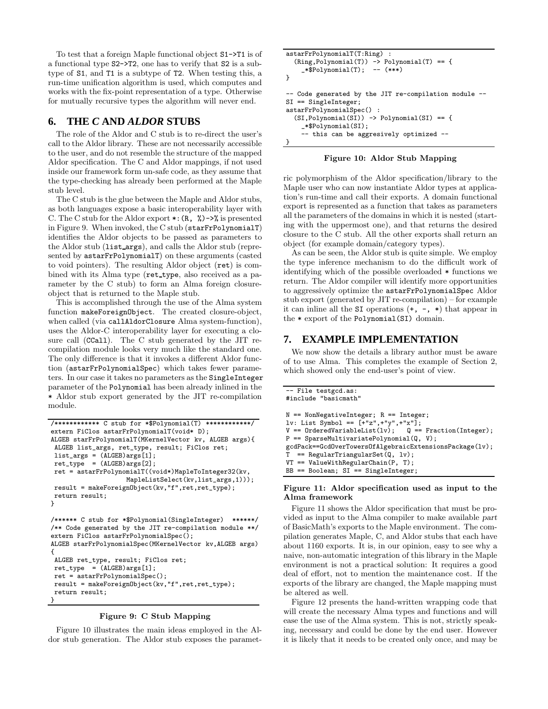To test that a foreign Maple functional object S1->T1 is of a functional type S2->T2, one has to verify that S2 is a subtype of S1, and T1 is a subtype of T2. When testing this, a run-time unification algorithm is used, which computes and works with the fix-point representation of a type. Otherwise for mutually recursive types the algorithm will never end.

## **6. THE** *C* **AND** *ALDOR* **STUBS**

The role of the Aldor and C stub is to re-direct the user's call to the Aldor library. These are not necessarily accessible to the user, and do not resemble the structure of the mapped Aldor specification. The C and Aldor mappings, if not used inside our framework form un-safe code, as they assume that the type-checking has already been performed at the Maple stub level.

The C stub is the glue between the Maple and Aldor stubs, as both languages expose a basic interoperability layer with C. The C stub for the Aldor export  $\ast: (R, \%) \rightarrow \%$  is presented in Figure 9. When invoked, the C stub (starFrPolynomialT) identifies the Aldor objects to be passed as parameters to the Aldor stub (list args), and calls the Aldor stub (represented by astarFrPolynomialT) on these arguments (casted to void pointers). The resulting Aldor object (ret) is combined with its Alma type (ret type, also received as a parameter by the C stub) to form an Alma foreign closureobject that is returned to the Maple stub.

This is accomplished through the use of the Alma system function makeForeignObject. The created closure-object, when called (via callAldorClosure Alma system-function), uses the Aldor-C interoperability layer for executing a closure call (CCall). The C stub generated by the JIT recompilation module looks very much like the standard one. The only difference is that it invokes a different Aldor function (astarFrPolynomialSpec) which takes fewer parameters. In our case it takes no parameters as the SingleInteger parameter of the Polynomial has been already inlined in the \* Aldor stub export generated by the JIT re-compilation module.

```
/************ C stub for *$Polynomial(T) ************/
extern FiClos astarFrPolynomialT(void* D);
ALGEB starFrPolynomialT(MKernelVector kv, ALGEB args){
 ALGEB list_args, ret_type, result; FiClos ret;
 list_args = (ALGEB)args[1];
 ret_type = (ALGEB)args[2];ret = astarFrPolynomialT((void*)MapleToInteger32(kv,
                    MapleListSelect(kv,list_args,1)));
 result = makeForeignObject(kv,"f",ret,ret_type);
 return result;
}
/****** C stub for *$Polynomial(SingleInteger) ******/
/** Code generated by the JIT re-compilation module **/
extern FiClos astarFrPolynomialSpec();
ALGEB starFrPolynomialSpec(MKernelVector kv,ALGEB args)
{
 ALGEB ret_type, result; FiClos ret;
 ret_type = (ALGEB)args[1];ret = astarFrPolynomialSpec();
 result = makeForeignObject(kv,"f",ret,ret_type);
 return result;
}
```
#### Figure 9: C Stub Mapping

Figure 10 illustrates the main ideas employed in the Aldor stub generation. The Aldor stub exposes the paramet-

```
astarFrPolynomialT(T:Ring) :
  (Ring,Polynomial(T)) \rightarrow Polynomial(T) == \{-*Polynomial(T); -- (**)}
-- Code generated by the JIT re-compilation module --
SI == SingleInteger;
astarFrPolynomialSpec() :
  (SI, Polynomial(SI) -> Polynomial(SI) == {
     _*$Polynomial(SI);
     -- this can be aggresively optimized --
}
```
#### Figure 10: Aldor Stub Mapping

ric polymorphism of the Aldor specification/library to the Maple user who can now instantiate Aldor types at application's run-time and call their exports. A domain functional export is represented as a function that takes as parameters all the parameters of the domains in which it is nested (starting with the uppermost one), and that returns the desired closure to the C stub. All the other exports shall return an object (for example domain/category types).

As can be seen, the Aldor stub is quite simple. We employ the type inference mechanism to do the difficult work of identifying which of the possible overloaded \* functions we return. The Aldor compiler will identify more opportunities to aggressively optimize the astarFrPolynomialSpec Aldor stub export (generated by JIT re-compilation) – for example it can inline all the SI operations  $(+, -, *)$  that appear in the \* export of the Polynomial(SI) domain.

# **7. EXAMPLE IMPLEMENTATION**

We now show the details a library author must be aware of to use Alma. This completes the example of Section 2, which showed only the end-user's point of view.

```
-- File testgcd.as:
#include "basicmath"
N == NonNegativeInteger; R == Integer;
1v: List Symbol == [-"z", +"y", +"x"];
V = OrderedVariableList(lv); Q = Fraction(Integer);
P == SparseMultivariatePolynomial(Q, V);
gcdPack==GcdOverTowersOfAlgebraicExtensionsPackage(lv);
T == RegularTriangularSet(Q, lv);
VT == ValueWithRegularChain(P, T);
BB == Boolean; SI == SingleInteger;
```
#### Figure 11: Aldor specification used as input to the Alma framework

Figure 11 shows the Aldor specification that must be provided as input to the Alma compiler to make available part of BasicMath's exports to the Maple environment. The compilation generates Maple, C, and Aldor stubs that each have about 1160 exports. It is, in our opinion, easy to see why a naive, non-automatic integration of this library in the Maple environment is not a practical solution: It requires a good deal of effort, not to mention the maintenance cost. If the exports of the library are changed, the Maple mapping must be altered as well.

Figure 12 presents the hand-written wrapping code that will create the necessary Alma types and functions and will ease the use of the Alma system. This is not, strictly speaking, necessary and could be done by the end user. However it is likely that it needs to be created only once, and may be